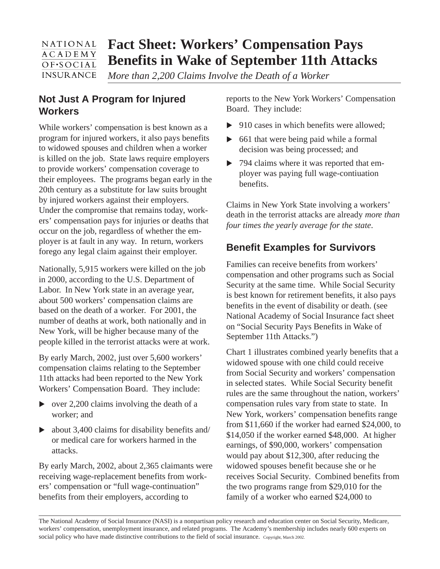#### **Fact Sheet: Workers' Compensation Pays** NATIONAL **ACADEMY Benefits in Wake of September 11th Attacks**  $OFSOCIAL$ **INSURANCE**

*More than 2,200 Claims Involve the Death of a Worker*

## **Not Just A Program for Injured Workers**

While workers' compensation is best known as a program for injured workers, it also pays benefits to widowed spouses and children when a worker is killed on the job. State laws require employers to provide workers' compensation coverage to their employees. The programs began early in the 20th century as a substitute for law suits brought by injured workers against their employers. Under the compromise that remains today, workers' compensation pays for injuries or deaths that occur on the job, regardless of whether the employer is at fault in any way. In return, workers forego any legal claim against their employer.

Nationally, 5,915 workers were killed on the job in 2000, according to the U.S. Department of Labor. In New York state in an average year, about 500 workers' compensation claims are based on the death of a worker. For 2001, the number of deaths at work, both nationally and in New York, will be higher because many of the people killed in the terrorist attacks were at work.

By early March, 2002, just over 5,600 workers' compensation claims relating to the September 11th attacks had been reported to the New York Workers' Compensation Board. They include:

- $\triangleright$  over 2,200 claims involving the death of a worker; and
- $\triangleright$  about 3,400 claims for disability benefits and/ or medical care for workers harmed in the attacks.

By early March, 2002, about 2,365 claimants were receiving wage-replacement benefits from workers' compensation or "full wage-continuation" benefits from their employers, according to

reports to the New York Workers' Compensation Board. They include:

- $\triangleright$  910 cases in which benefits were allowed:
- ▶ 661 that were being paid while a formal decision was being processed; and
- ▶ 794 claims where it was reported that employer was paying full wage-contiuation benefits.

Claims in New York State involving a workers' death in the terrorist attacks are already *more than four times the yearly average for the state*.

# **Benefit Examples for Survivors**

Families can receive benefits from workers' compensation and other programs such as Social Security at the same time. While Social Security is best known for retirement benefits, it also pays benefits in the event of disability or death. (see National Academy of Social Insurance fact sheet on "Social Security Pays Benefits in Wake of September 11th Attacks.")

Chart 1 illustrates combined yearly benefits that a widowed spouse with one child could receive from Social Security and workers' compensation in selected states. While Social Security benefit rules are the same throughout the nation, workers' compensation rules vary from state to state. In New York, workers' compensation benefits range from \$11,660 if the worker had earned \$24,000, to \$14,050 if the worker earned \$48,000. At higher earnings, of \$90,000, workers' compensation would pay about \$12,300, after reducing the widowed spouses benefit because she or he receives Social Security. Combined benefits from the two programs range from \$29,010 for the family of a worker who earned \$24,000 to

The National Academy of Social Insurance (NASI) is a nonpartisan policy research and education center on Social Security, Medicare, workers' compensation, unemployment insurance, and related programs. The Academy's membership includes nearly 600 experts on social policy who have made distinctive contributions to the field of social insurance. Copyright, March 2002.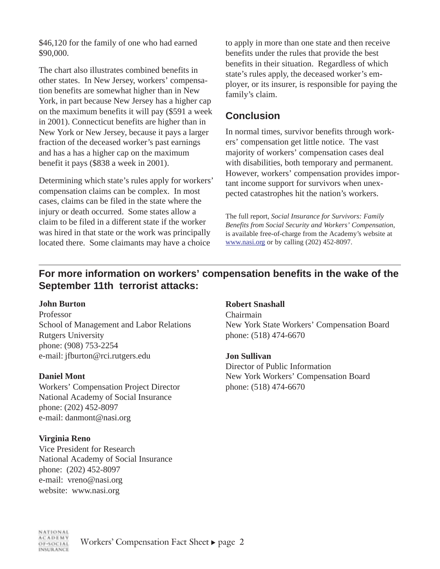\$46,120 for the family of one who had earned \$90,000.

The chart also illustrates combined benefits in other states. In New Jersey, workers' compensation benefits are somewhat higher than in New York, in part because New Jersey has a higher cap on the maximum benefits it will pay (\$591 a week in 2001). Connecticut benefits are higher than in New York or New Jersey, because it pays a larger fraction of the deceased worker's past earnings and has a has a higher cap on the maximum benefit it pays (\$838 a week in 2001).

Determining which state's rules apply for workers' compensation claims can be complex. In most cases, claims can be filed in the state where the injury or death occurred. Some states allow a claim to be filed in a different state if the worker was hired in that state or the work was principally located there. Some claimants may have a choice

to apply in more than one state and then receive benefits under the rules that provide the best benefits in their situation. Regardless of which state's rules apply, the deceased worker's employer, or its insurer, is responsible for paying the family's claim.

### **Conclusion**

In normal times, survivor benefits through workers' compensation get little notice. The vast majority of workers' compensation cases deal with disabilities, both temporary and permanent. However, workers' compensation provides important income support for survivors when unexpected catastrophes hit the nation's workers.

The full report, *Social Insurance for Survivors: Family Benefits from Social Security and Workers' Compensation*, is available free-of-charge from the Academy's website at www.nasi.org or by calling (202) 452-8097.

### **For more information on workers' compensation benefits in the wake of the September 11th terrorist attacks:**

#### **John Burton**

Professor School of Management and Labor Relations Rutgers University phone: (908) 753-2254 e-mail: jfburton@rci.rutgers.edu

### **Daniel Mont**

Workers' Compensation Project Director National Academy of Social Insurance phone: (202) 452-8097 e-mail: danmont@nasi.org

#### **Virginia Reno**

Vice President for Research National Academy of Social Insurance phone: (202) 452-8097 e-mail: vreno@nasi.org website: www.nasi.org

#### **Robert Snashall**

Chairmain New York State Workers' Compensation Board phone: (518) 474-6670

#### **Jon Sullivan**

Director of Public Information New York Workers' Compensation Board phone: (518) 474-6670